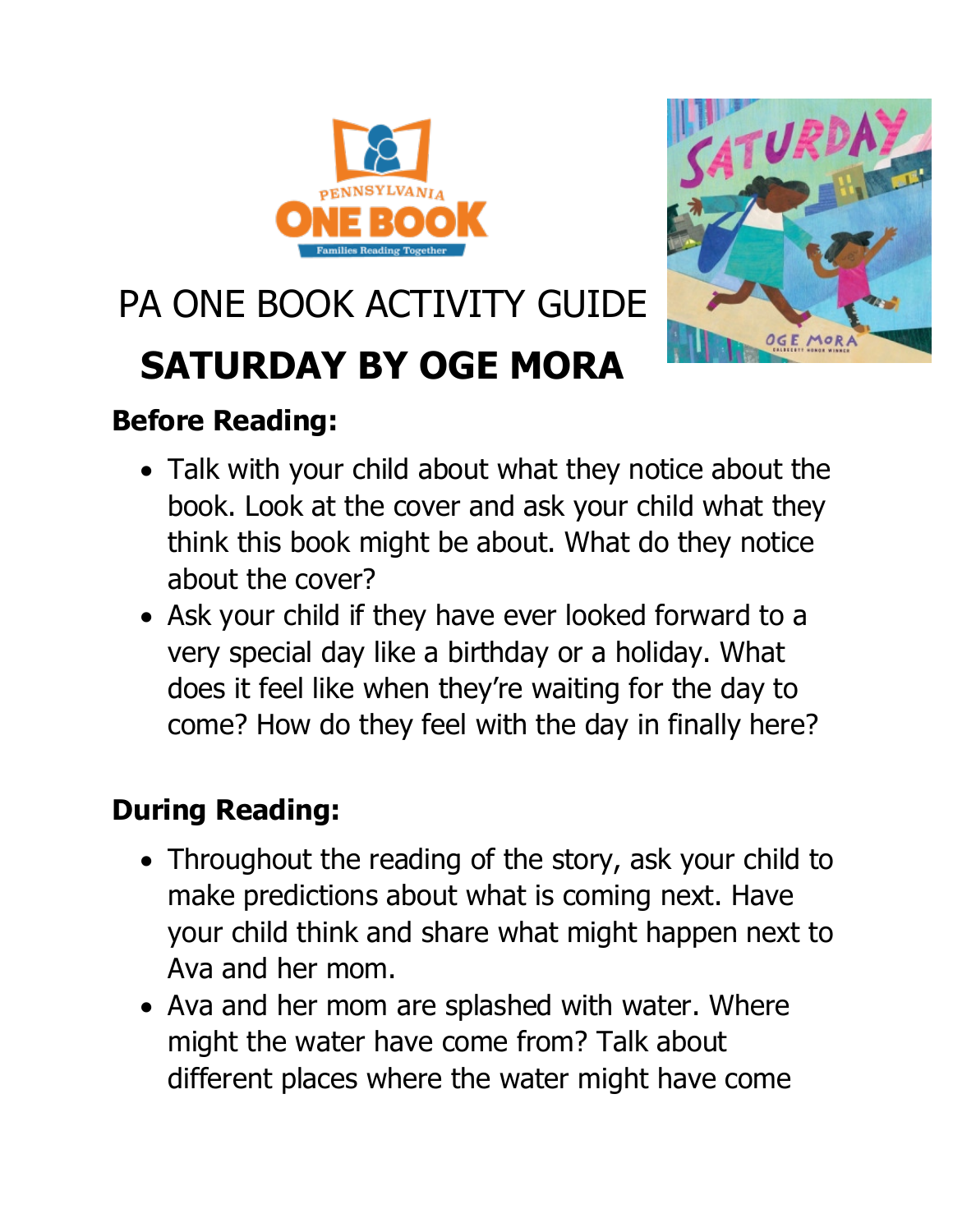



# PA ONE BOOK ACTIVITY GUIDE

# **SATURDAY BY OGE MORA**

# **Before Reading:**

- Talk with your child about what they notice about the book. Look at the cover and ask your child what they think this book might be about. What do they notice about the cover?
- Ask your child if they have ever looked forward to a very special day like a birthday or a holiday. What does it feel like when they're waiting for the day to come? How do they feel with the day in finally here?

# **During Reading:**

- Throughout the reading of the story, ask your child to make predictions about what is coming next. Have your child think and share what might happen next to Ava and her mom.
- Ava and her mom are splashed with water. Where might the water have come from? Talk about different places where the water might have come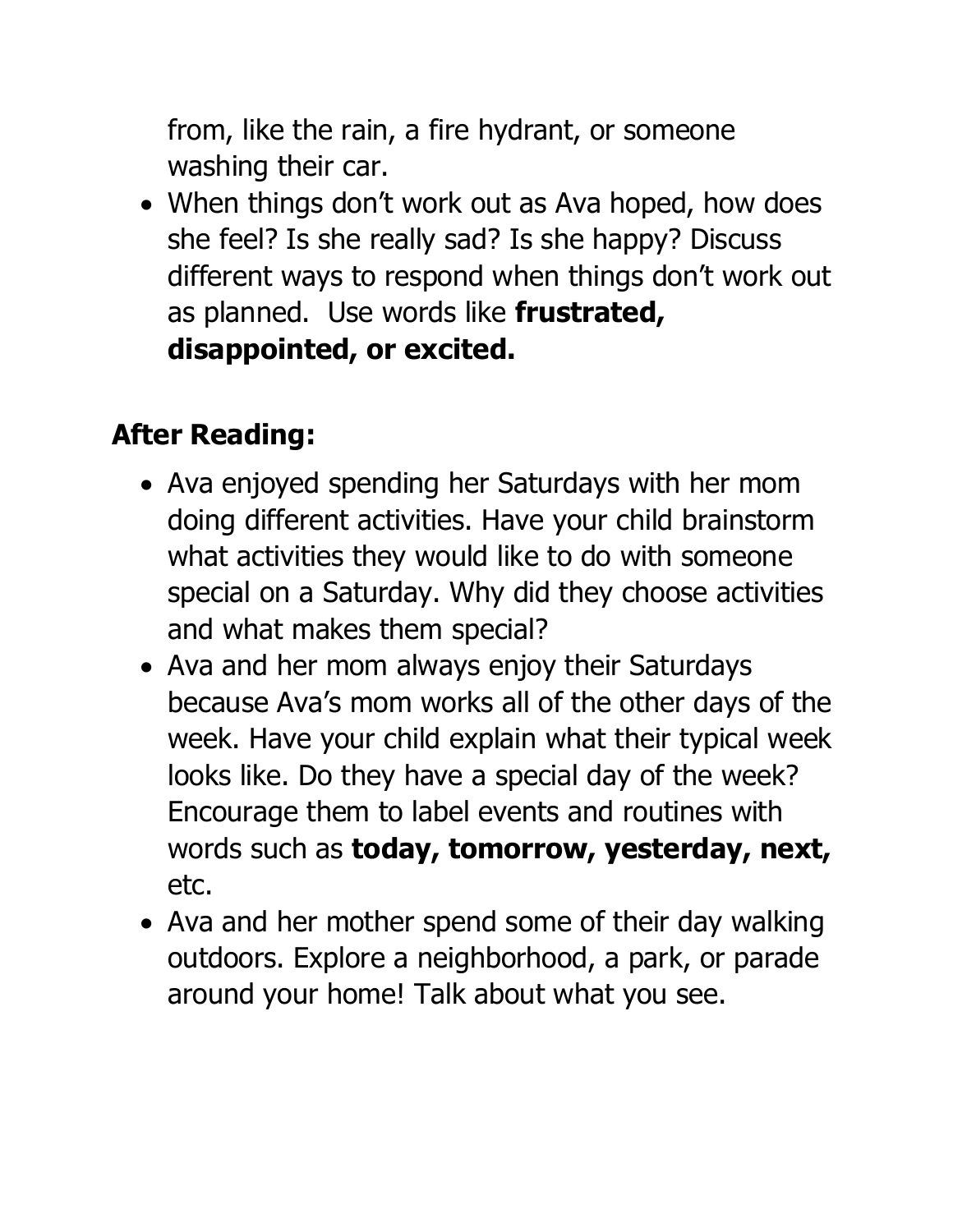from, like the rain, a fire hydrant, or someone washing their car.

• When things don't work out as Ava hoped, how does she feel? Is she really sad? Is she happy? Discuss different ways to respond when things don't work out as planned. Use words like **frustrated, disappointed, or excited.** 

### **After Reading:**

- Ava enjoyed spending her Saturdays with her mom doing different activities. Have your child brainstorm what activities they would like to do with someone special on a Saturday. Why did they choose activities and what makes them special?
- Ava and her mom always enjoy their Saturdays because Ava's mom works all of the other days of the week. Have your child explain what their typical week looks like. Do they have a special day of the week? Encourage them to label events and routines with words such as **today, tomorrow, yesterday, next,**  etc.
- Ava and her mother spend some of their day walking outdoors. Explore a neighborhood, a park, or parade around your home! Talk about what you see.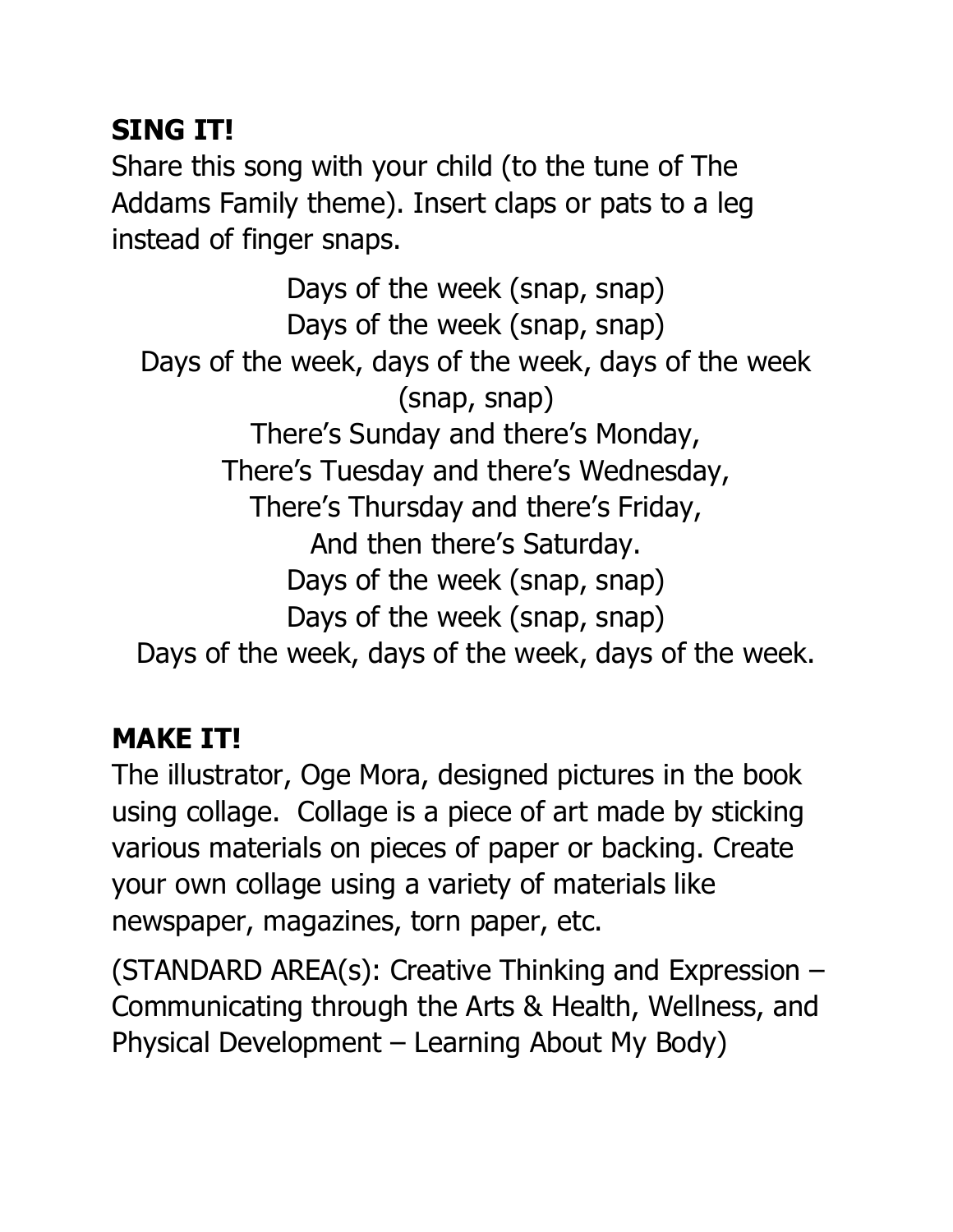#### **SING IT!**

Share this song with your child (to the tune of The Addams Family theme). Insert claps or pats to a leg instead of finger snaps.

Days of the week (snap, snap) Days of the week (snap, snap) Days of the week, days of the week, days of the week (snap, snap) There's Sunday and there's Monday, There's Tuesday and there's Wednesday, There's Thursday and there's Friday, And then there's Saturday. Days of the week (snap, snap) Days of the week (snap, snap) Days of the week, days of the week, days of the week.

# **MAKE IT!**

The illustrator, Oge Mora, designed pictures in the book using collage. Collage is a piece of art made by sticking various materials on pieces of paper or backing. Create your own collage using a variety of materials like newspaper, magazines, torn paper, etc.

(STANDARD AREA(s): Creative Thinking and Expression – Communicating through the Arts & Health, Wellness, and Physical Development – Learning About My Body)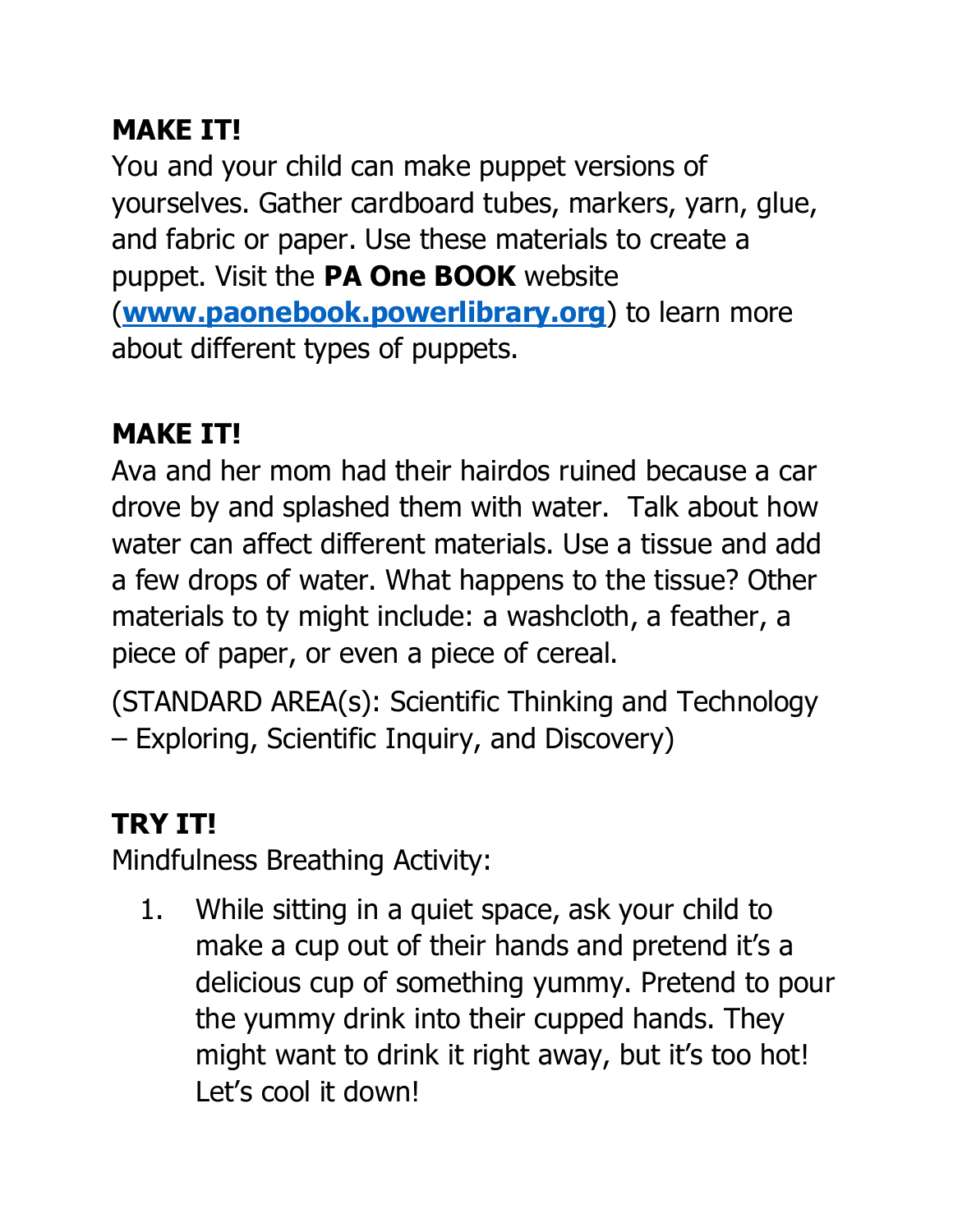### **MAKE IT!**

You and your child can make puppet versions of yourselves. Gather cardboard tubes, markers, yarn, glue, and fabric or paper. Use these materials to create a puppet. Visit the **PA One BOOK** website (**[www.paonebook.powerlibrary.org](http://www.paonebook.powerlibrary.org/)**) to learn more about different types of puppets.

### **MAKE IT!**

Ava and her mom had their hairdos ruined because a car drove by and splashed them with water. Talk about how water can affect different materials. Use a tissue and add a few drops of water. What happens to the tissue? Other materials to ty might include: a washcloth, a feather, a piece of paper, or even a piece of cereal.

(STANDARD AREA(s): Scientific Thinking and Technology – Exploring, Scientific Inquiry, and Discovery)

# **TRY IT!**

Mindfulness Breathing Activity:

1. While sitting in a quiet space, ask your child to make a cup out of their hands and pretend it's a delicious cup of something yummy. Pretend to pour the yummy drink into their cupped hands. They might want to drink it right away, but it's too hot! Let's cool it down!